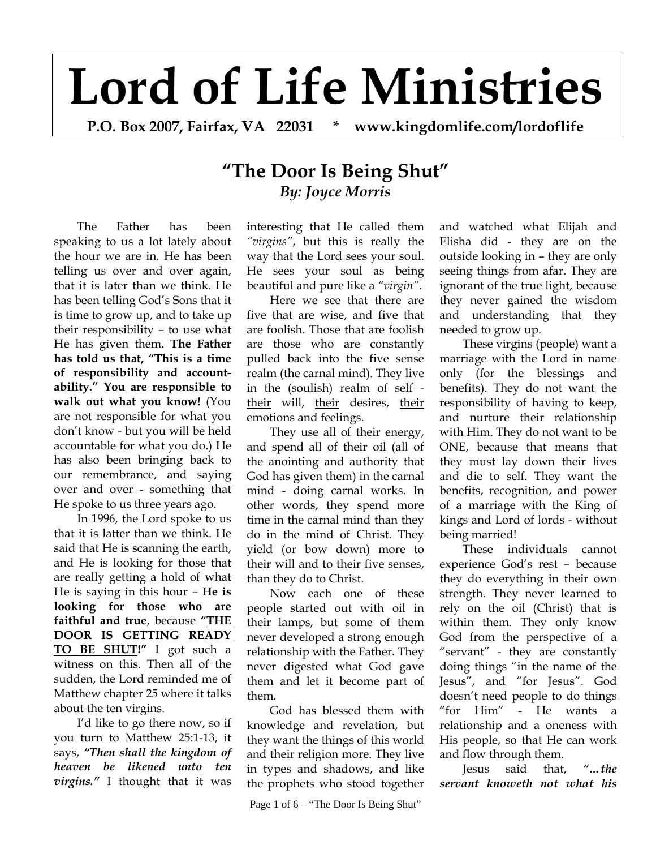# **Lord of Life Ministries**

**P.O. Box 2007, Fairfax, VA 22031 \* www.kingdomlife.com/lordoflife** 

# **"The Door Is Being Shut"** *By: Joyce Morris*

 The Father has been speaking to us a lot lately about the hour we are in. He has been telling us over and over again, that it is later than we think. He has been telling God's Sons that it is time to grow up, and to take up their responsibility – to use what He has given them. **The Father has told us that, "This is a time of responsibility and accountability." You are responsible to walk out what you know!** (You are not responsible for what you don't know - but you will be held accountable for what you do.) He has also been bringing back to our remembrance, and saying over and over - something that He spoke to us three years ago.

 In 1996, the Lord spoke to us that it is latter than we think. He said that He is scanning the earth, and He is looking for those that are really getting a hold of what He is saying in this hour – **He is looking for those who are faithful and true**, because **"THE DOOR IS GETTING READY TO BE SHUT!"** I got such a witness on this. Then all of the sudden, the Lord reminded me of Matthew chapter 25 where it talks about the ten virgins.

I'd like to go there now, so if you turn to Matthew 25:1-13, it says, *"Then shall the kingdom of heaven be likened unto ten virgins."* I thought that it was

interesting that He called them *"virgins"*, but this is really the way that the Lord sees your soul. He sees your soul as being beautiful and pure like a *"virgin"*.

Here we see that there are five that are wise, and five that are foolish. Those that are foolish are those who are constantly pulled back into the five sense realm (the carnal mind). They live in the (soulish) realm of self their will, their desires, their emotions and feelings.

They use all of their energy, and spend all of their oil (all of the anointing and authority that God has given them) in the carnal mind - doing carnal works. In other words, they spend more time in the carnal mind than they do in the mind of Christ. They yield (or bow down) more to their will and to their five senses, than they do to Christ.

Now each one of these people started out with oil in their lamps, but some of them never developed a strong enough relationship with the Father. They never digested what God gave them and let it become part of them.

God has blessed them with knowledge and revelation, but they want the things of this world and their religion more. They live in types and shadows, and like the prophets who stood together

Page 1 of  $6 -$  "The Door Is Being Shut"

and watched what Elijah and Elisha did - they are on the outside looking in – they are only seeing things from afar. They are ignorant of the true light, because they never gained the wisdom and understanding that they needed to grow up.

These virgins (people) want a marriage with the Lord in name only (for the blessings and benefits). They do not want the responsibility of having to keep, and nurture their relationship with Him. They do not want to be ONE, because that means that they must lay down their lives and die to self. They want the benefits, recognition, and power of a marriage with the King of kings and Lord of lords - without being married!

These individuals cannot experience God's rest – because they do everything in their own strength. They never learned to rely on the oil (Christ) that is within them. They only know God from the perspective of a "servant" - they are constantly doing things "in the name of the Jesus", and "for Jesus". God doesn't need people to do things "for Him" - He wants a relationship and a oneness with His people, so that He can work and flow through them.

Jesus said that, *"…the servant knoweth not what his*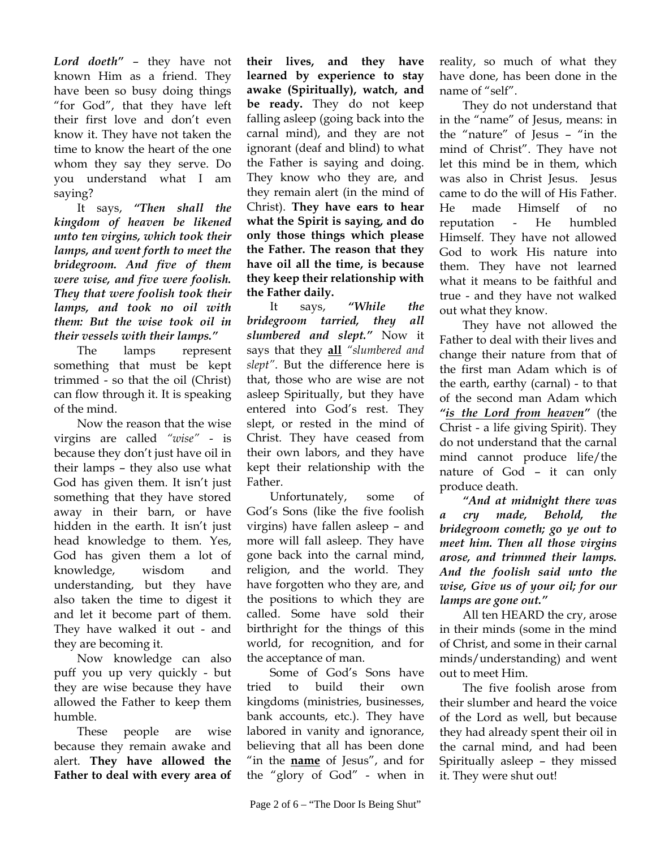*Lord doeth"* – they have not known Him as a friend. They have been so busy doing things "for God", that they have left their first love and don't even know it. They have not taken the time to know the heart of the one whom they say they serve. Do you understand what I am saying?

It says, *"Then shall the kingdom of heaven be likened unto ten virgins, which took their lamps, and went forth to meet the bridegroom. And five of them were wise, and five were foolish. They that were foolish took their lamps, and took no oil with them: But the wise took oil in their vessels with their lamps."*

The lamps represent something that must be kept trimmed - so that the oil (Christ) can flow through it. It is speaking of the mind.

Now the reason that the wise virgins are called *"wise"* - is because they don't just have oil in their lamps – they also use what God has given them. It isn't just something that they have stored away in their barn, or have hidden in the earth. It isn't just head knowledge to them. Yes, God has given them a lot of knowledge, wisdom and understanding, but they have also taken the time to digest it and let it become part of them. They have walked it out - and they are becoming it.

Now knowledge can also puff you up very quickly - but they are wise because they have allowed the Father to keep them humble.

These people are wise because they remain awake and alert. **They have allowed the Father to deal with every area of**  **their lives, and they have learned by experience to stay awake (Spiritually), watch, and be ready.** They do not keep falling asleep (going back into the carnal mind), and they are not ignorant (deaf and blind) to what the Father is saying and doing. They know who they are, and they remain alert (in the mind of Christ). **They have ears to hear what the Spirit is saying, and do only those things which please the Father. The reason that they have oil all the time, is because they keep their relationship with the Father daily.**

It says, *"While the bridegroom tarried, they all slumbered and slept."* Now it says that they **all** *"slumbered and slept"*. But the difference here is that, those who are wise are not asleep Spiritually, but they have entered into God's rest. They slept, or rested in the mind of Christ. They have ceased from their own labors, and they have kept their relationship with the Father.

Unfortunately, some of God's Sons (like the five foolish virgins) have fallen asleep – and more will fall asleep. They have gone back into the carnal mind, religion, and the world. They have forgotten who they are, and the positions to which they are called. Some have sold their birthright for the things of this world, for recognition, and for the acceptance of man.

Some of God's Sons have tried to build their own kingdoms (ministries, businesses, bank accounts, etc.). They have labored in vanity and ignorance, believing that all has been done "in the **name** of Jesus", and for the "glory of God" - when in reality, so much of what they have done, has been done in the name of "self".

They do not understand that in the "name" of Jesus, means: in the "nature" of Jesus – "in the mind of Christ". They have not let this mind be in them, which was also in Christ Jesus. Jesus came to do the will of His Father. He made Himself of no reputation - He humbled Himself. They have not allowed God to work His nature into them. They have not learned what it means to be faithful and true - and they have not walked out what they know.

They have not allowed the Father to deal with their lives and change their nature from that of the first man Adam which is of the earth, earthy (carnal) - to that of the second man Adam which *"is the Lord from heaven"* (the Christ - a life giving Spirit). They do not understand that the carnal mind cannot produce life/the nature of God – it can only produce death.

*"And at midnight there was a cry made, Behold, the bridegroom cometh; go ye out to meet him. Then all those virgins arose, and trimmed their lamps. And the foolish said unto the wise, Give us of your oil; for our lamps are gone out."* 

All ten HEARD the cry, arose in their minds (some in the mind of Christ, and some in their carnal minds/understanding) and went out to meet Him.

The five foolish arose from their slumber and heard the voice of the Lord as well, but because they had already spent their oil in the carnal mind, and had been Spiritually asleep – they missed it. They were shut out!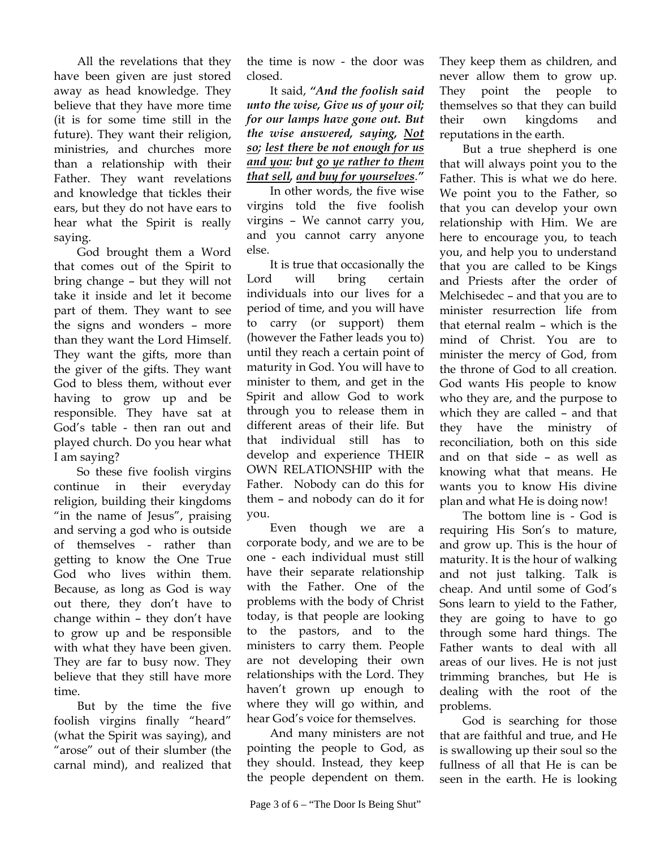All the revelations that they have been given are just stored away as head knowledge. They believe that they have more time (it is for some time still in the future). They want their religion, ministries, and churches more than a relationship with their Father. They want revelations and knowledge that tickles their ears, but they do not have ears to hear what the Spirit is really saying.

God brought them a Word that comes out of the Spirit to bring change – but they will not take it inside and let it become part of them. They want to see the signs and wonders – more than they want the Lord Himself. They want the gifts, more than the giver of the gifts. They want God to bless them, without ever having to grow up and be responsible. They have sat at God's table - then ran out and played church. Do you hear what I am saying?

So these five foolish virgins continue in their everyday religion, building their kingdoms "in the name of Jesus", praising and serving a god who is outside of themselves - rather than getting to know the One True God who lives within them. Because, as long as God is way out there, they don't have to change within – they don't have to grow up and be responsible with what they have been given. They are far to busy now. They believe that they still have more time.

But by the time the five foolish virgins finally "heard" (what the Spirit was saying), and "arose" out of their slumber (the carnal mind), and realized that the time is now - the door was closed.

It said, *"And the foolish said unto the wise, Give us of your oil; for our lamps have gone out. But the wise answered, saying, Not so; lest there be not enough for us and you: but go ye rather to them that sell, and buy for yourselves*.*"*

In other words, the five wise virgins told the five foolish virgins – We cannot carry you, and you cannot carry anyone else.

It is true that occasionally the Lord will bring certain individuals into our lives for a period of time, and you will have to carry (or support) them (however the Father leads you to) until they reach a certain point of maturity in God. You will have to minister to them, and get in the Spirit and allow God to work through you to release them in different areas of their life. But that individual still has to develop and experience THEIR OWN RELATIONSHIP with the Father. Nobody can do this for them – and nobody can do it for you.

Even though we are a corporate body, and we are to be one - each individual must still have their separate relationship with the Father. One of the problems with the body of Christ today, is that people are looking to the pastors, and to the ministers to carry them. People are not developing their own relationships with the Lord. They haven't grown up enough to where they will go within, and hear God's voice for themselves.

And many ministers are not pointing the people to God, as they should. Instead, they keep the people dependent on them.

They keep them as children, and never allow them to grow up. They point the people to themselves so that they can build their own kingdoms and reputations in the earth.

But a true shepherd is one that will always point you to the Father. This is what we do here. We point you to the Father, so that you can develop your own relationship with Him. We are here to encourage you, to teach you, and help you to understand that you are called to be Kings and Priests after the order of Melchisedec – and that you are to minister resurrection life from that eternal realm – which is the mind of Christ. You are to minister the mercy of God, from the throne of God to all creation. God wants His people to know who they are, and the purpose to which they are called – and that they have the ministry of reconciliation, both on this side and on that side – as well as knowing what that means. He wants you to know His divine plan and what He is doing now!

The bottom line is - God is requiring His Son's to mature, and grow up. This is the hour of maturity. It is the hour of walking and not just talking. Talk is cheap. And until some of God's Sons learn to yield to the Father, they are going to have to go through some hard things. The Father wants to deal with all areas of our lives. He is not just trimming branches, but He is dealing with the root of the problems.

God is searching for those that are faithful and true, and He is swallowing up their soul so the fullness of all that He is can be seen in the earth. He is looking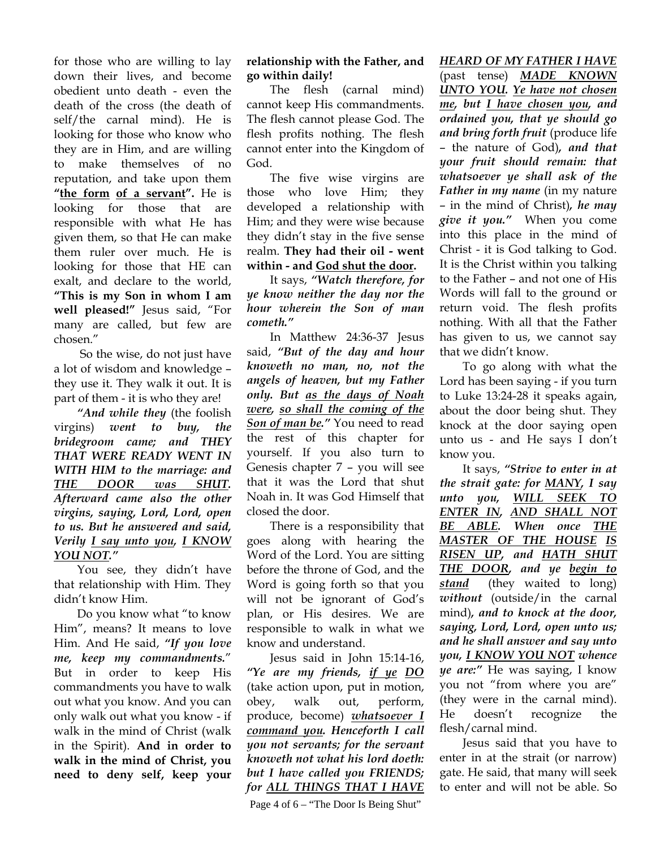for those who are willing to lay down their lives, and become obedient unto death - even the death of the cross (the death of self/the carnal mind). He is looking for those who know who they are in Him, and are willing to make themselves of no reputation, and take upon them "the form of a servant". He is looking for those that are responsible with what He has given them, so that He can make them ruler over much. He is looking for those that HE can exalt, and declare to the world, **"This is my Son in whom I am well pleased!"** Jesus said, "For many are called, but few are chosen."

 So the wise, do not just have a lot of wisdom and knowledge – they use it. They walk it out. It is part of them - it is who they are!

*"And while they* (the foolish virgins) *went to buy, the bridegroom came; and THEY THAT WERE READY WENT IN WITH HIM to the marriage: and THE DOOR was SHUT. Afterward came also the other virgins, saying, Lord, Lord, open to us. But he answered and said, Verily I say unto you, I KNOW YOU NOT."* 

You see, they didn't have that relationship with Him. They didn't know Him.

Do you know what "to know Him", means? It means to love Him. And He said, *"If you love me, keep my commandments.*" But in order to keep His commandments you have to walk out what you know. And you can only walk out what you know - if walk in the mind of Christ (walk in the Spirit). **And in order to walk in the mind of Christ, you need to deny self, keep your** 

## **relationship with the Father, and go within daily!**

The flesh (carnal mind) cannot keep His commandments. The flesh cannot please God. The flesh profits nothing. The flesh cannot enter into the Kingdom of God.

The five wise virgins are those who love Him; they developed a relationship with Him; and they were wise because they didn't stay in the five sense realm. **They had their oil - went within - and God shut the door.**

It says, *"Watch therefore, for ye know neither the day nor the hour wherein the Son of man cometh."*

In Matthew 24:36-37 Jesus said, *"But of the day and hour knoweth no man, no, not the angels of heaven, but my Father only. But as the days of Noah were, so shall the coming of the Son of man be."* You need to read the rest of this chapter for yourself. If you also turn to Genesis chapter 7 – you will see that it was the Lord that shut Noah in. It was God Himself that closed the door.

There is a responsibility that goes along with hearing the Word of the Lord. You are sitting before the throne of God, and the Word is going forth so that you will not be ignorant of God's plan, or His desires. We are responsible to walk in what we know and understand.

Jesus said in John 15:14-16, *"Ye are my friends, if ye DO*  (take action upon, put in motion, obey, walk out, perform, produce, become) *whatsoever I command you. Henceforth I call you not servants; for the servant knoweth not what his lord doeth: but I have called you FRIENDS; for ALL THINGS THAT I HAVE* 

Page 4 of  $6 -$  "The Door Is Being Shut"

## *HEARD OF MY FATHER I HAVE*

(past tense) *MADE KNOWN UNTO YOU. Ye have not chosen me, but I have chosen you, and ordained you, that ye should go and bring forth fruit* (produce life – the nature of God)*, and that your fruit should remain: that whatsoever ye shall ask of the Father in my name* (in my nature – in the mind of Christ)*, he may give it you."* When you come into this place in the mind of Christ - it is God talking to God. It is the Christ within you talking to the Father – and not one of His Words will fall to the ground or return void. The flesh profits nothing. With all that the Father has given to us, we cannot say that we didn't know.

To go along with what the Lord has been saying - if you turn to Luke 13:24-28 it speaks again, about the door being shut. They knock at the door saying open unto us - and He says I don't know you.

It says, *"Strive to enter in at the strait gate: for MANY, I say unto you, WILL SEEK TO ENTER IN, AND SHALL NOT BE ABLE. When once THE MASTER OF THE HOUSE IS RISEN UP, and HATH SHUT THE DOOR, and ye begin to stand* (they waited to long) *without* (outside/in the carnal mind)*, and to knock at the door, saying, Lord, Lord, open unto us; and he shall answer and say unto you, I KNOW YOU NOT whence ye are:"* He was saying, I know you not "from where you are" (they were in the carnal mind). He doesn't recognize the flesh/carnal mind.

Jesus said that you have to enter in at the strait (or narrow) gate. He said, that many will seek to enter and will not be able. So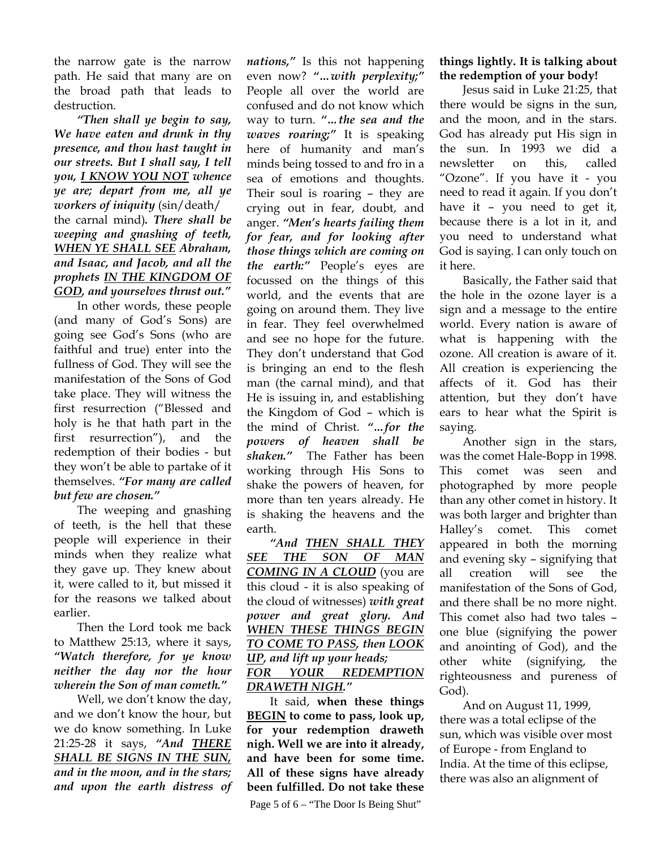the narrow gate is the narrow path. He said that many are on the broad path that leads to destruction.

*"Then shall ye begin to say, We have eaten and drunk in thy presence, and thou hast taught in our streets. But I shall say, I tell you, I KNOW YOU NOT whence ye are; depart from me, all ye workers of iniquity* (sin/death/ the carnal mind)*. There shall be weeping and gnashing of teeth, WHEN YE SHALL SEE Abraham, and Isaac, and Jacob, and all the prophets IN THE KINGDOM OF GOD, and yourselves thrust out."* 

In other words, these people (and many of God's Sons) are going see God's Sons (who are faithful and true) enter into the fullness of God. They will see the manifestation of the Sons of God take place. They will witness the first resurrection ("Blessed and holy is he that hath part in the first resurrection"), and the redemption of their bodies - but they won't be able to partake of it themselves. *"For many are called but few are chosen."*

The weeping and gnashing of teeth, is the hell that these people will experience in their minds when they realize what they gave up. They knew about it, were called to it, but missed it for the reasons we talked about earlier.

Then the Lord took me back to Matthew 25:13, where it says, *"Watch therefore, for ye know neither the day nor the hour wherein the Son of man cometh."*

Well, we don't know the day, and we don't know the hour, but we do know something. In Luke 21:25-28 it says, *"And THERE SHALL BE SIGNS IN THE SUN, and in the moon, and in the stars; and upon the earth distress of* 

*nations,"* Is this not happening even now? *"…with perplexity;"*  People all over the world are confused and do not know which way to turn. *"…the sea and the waves roaring;"* It is speaking here of humanity and man's minds being tossed to and fro in a sea of emotions and thoughts. Their soul is roaring – they are crying out in fear, doubt, and anger. *"Men's hearts failing them for fear, and for looking after those things which are coming on the earth:"* People's eyes are focussed on the things of this world, and the events that are going on around them. They live in fear. They feel overwhelmed and see no hope for the future. They don't understand that God is bringing an end to the flesh man (the carnal mind), and that He is issuing in, and establishing the Kingdom of God – which is the mind of Christ. *"…for the powers of heaven shall be shaken."* The Father has been working through His Sons to shake the powers of heaven, for more than ten years already. He is shaking the heavens and the earth.

*"And THEN SHALL THEY SEE THE SON OF MAN COMING IN A CLOUD* (you are this cloud - it is also speaking of the cloud of witnesses) *with great power and great glory. And WHEN THESE THINGS BEGIN TO COME TO PASS, then LOOK UP, and lift up your heads; FOR YOUR REDEMPTION DRAWETH NIGH."*

It said, **when these things BEGIN to come to pass, look up, for your redemption draweth nigh. Well we are into it already, and have been for some time. All of these signs have already been fulfilled. Do not take these** 

Page 5 of  $6 -$  "The Door Is Being Shut"

### **things lightly. It is talking about the redemption of your body!**

Jesus said in Luke 21:25, that there would be signs in the sun, and the moon, and in the stars. God has already put His sign in the sun. In 1993 we did a newsletter on this, called "Ozone". If you have it - you need to read it again. If you don't have it – you need to get it, because there is a lot in it, and you need to understand what God is saying. I can only touch on it here.

Basically, the Father said that the hole in the ozone layer is a sign and a message to the entire world. Every nation is aware of what is happening with the ozone. All creation is aware of it. All creation is experiencing the affects of it. God has their attention, but they don't have ears to hear what the Spirit is saying.

Another sign in the stars, was the comet Hale-Bopp in 1998. This comet was seen and photographed by more people than any other comet in history. It was both larger and brighter than Halley's comet. This comet appeared in both the morning and evening sky – signifying that all creation will see the manifestation of the Sons of God, and there shall be no more night. This comet also had two tales – one blue (signifying the power and anointing of God), and the other white (signifying, the righteousness and pureness of God).

And on August 11, 1999, there was a total eclipse of the sun, which was visible over most of Europe - from England to India. At the time of this eclipse, there was also an alignment of